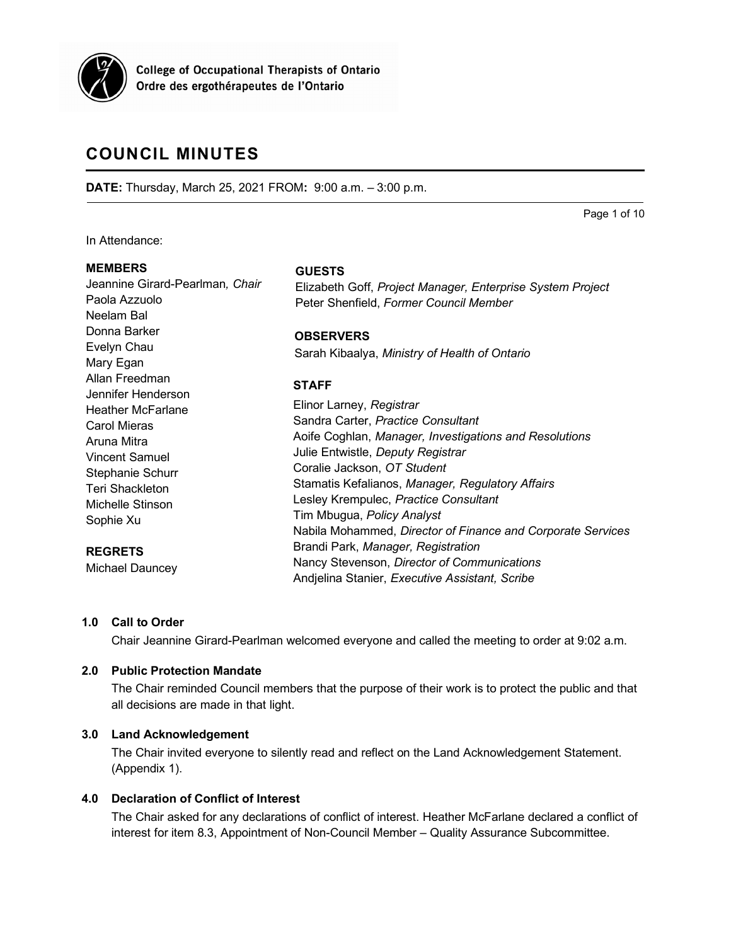

**College of Occupational Therapists of Ontario** Ordre des ergothérapeutes de l'Ontario

# **COUNCIL MINUTES**

Jeannine Girard-Pearlman*, Chair*

**DATE:** Thursday, March 25, 2021 FROM**:** 9:00 a.m. – 3:00 p.m.

Page 1 of 10

In Attendance:

Paola Azzuolo Neelam Bal Donna Barker Evelyn Chau Mary Egan Allan Freedman

#### **MEMBERS**

**GUESTS**

Elizabeth Goff, *Project Manager, Enterprise System Project* Peter Shenfield, *Former Council Member*

**OBSERVERS**

Sarah Kibaalya, *Ministry of Health of Ontario*

# **STAFF**

|                                   | SIAFF                                                                                                                               |
|-----------------------------------|-------------------------------------------------------------------------------------------------------------------------------------|
| Jennifer Henderson                | Elinor Larney, Registrar                                                                                                            |
| <b>Heather McFarlane</b>          | Sandra Carter, Practice Consultant                                                                                                  |
| <b>Carol Mieras</b>               | Aoife Coghlan, Manager, Investigations and Resolutions                                                                              |
| Aruna Mitra                       | Julie Entwistle, Deputy Registrar                                                                                                   |
| <b>Vincent Samuel</b>             | Coralie Jackson, OT Student                                                                                                         |
| Stephanie Schurr                  | Stamatis Kefalianos, Manager, Regulatory Affairs                                                                                    |
| <b>Teri Shackleton</b>            | Lesley Krempulec, Practice Consultant                                                                                               |
| Michelle Stinson                  | Tim Mbugua, Policy Analyst                                                                                                          |
| Sophie Xu                         | Nabila Mohammed, Director of Finance and Corporate Services                                                                         |
| <b>REGRETS</b><br>Michael Dauncey | Brandi Park, Manager, Registration<br>Nancy Stevenson, Director of Communications<br>Andjelina Stanier, Executive Assistant, Scribe |

## **1.0 Call to Order**

Chair Jeannine Girard-Pearlman welcomed everyone and called the meeting to order at 9:02 a.m.

## **2.0 Public Protection Mandate**

The Chair reminded Council members that the purpose of their work is to protect the public and that all decisions are made in that light.

## **3.0 Land Acknowledgement**

The Chair invited everyone to silently read and reflect on the Land Acknowledgement Statement. (Appendix 1).

## **4.0 Declaration of Conflict of Interest**

The Chair asked for any declarations of conflict of interest. Heather McFarlane declared a conflict of interest for item 8.3, Appointment of Non-Council Member – Quality Assurance Subcommittee.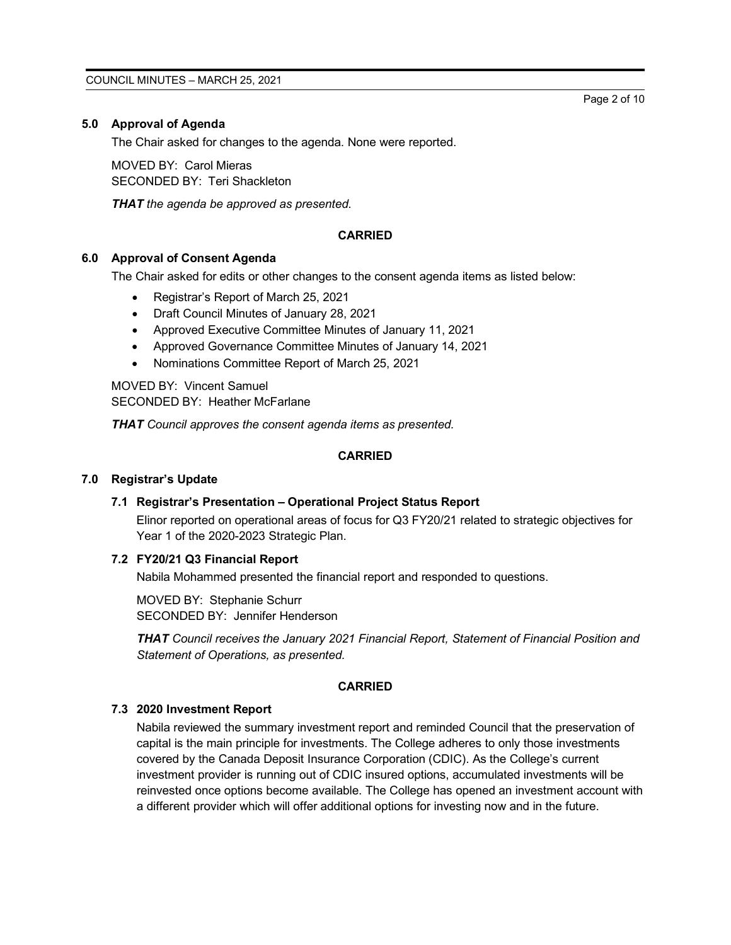# **5.0 Approval of Agenda**

The Chair asked for changes to the agenda. None were reported.

MOVED BY: Carol Mieras SECONDED BY: Teri Shackleton

*THAT the agenda be approved as presented.*

# **CARRIED**

## **6.0 Approval of Consent Agenda**

The Chair asked for edits or other changes to the consent agenda items as listed below:

- Registrar's Report of March 25, 2021
- Draft Council Minutes of January 28, 2021
- Approved Executive Committee Minutes of January 11, 2021
- Approved Governance Committee Minutes of January 14, 2021
- Nominations Committee Report of March 25, 2021

MOVED BY: Vincent Samuel SECONDED BY: Heather McFarlane

*THAT Council approves the consent agenda items as presented.*

#### **CARRIED**

#### **7.0 Registrar's Update**

#### **7.1 Registrar's Presentation – Operational Project Status Report**

Elinor reported on operational areas of focus for Q3 FY20/21 related to strategic objectives for Year 1 of the 2020-2023 Strategic Plan.

## **7.2 FY20/21 Q3 Financial Report**

Nabila Mohammed presented the financial report and responded to questions.

MOVED BY: Stephanie Schurr SECONDED BY: Jennifer Henderson

*THAT Council receives the January 2021 Financial Report, Statement of Financial Position and Statement of Operations, as presented.*

#### **CARRIED**

#### **7.3 2020 Investment Report**

Nabila reviewed the summary investment report and reminded Council that the preservation of capital is the main principle for investments. The College adheres to only those investments covered by the Canada Deposit Insurance Corporation (CDIC). As the College's current investment provider is running out of CDIC insured options, accumulated investments will be reinvested once options become available. The College has opened an investment account with a different provider which will offer additional options for investing now and in the future.

Page 2 of 10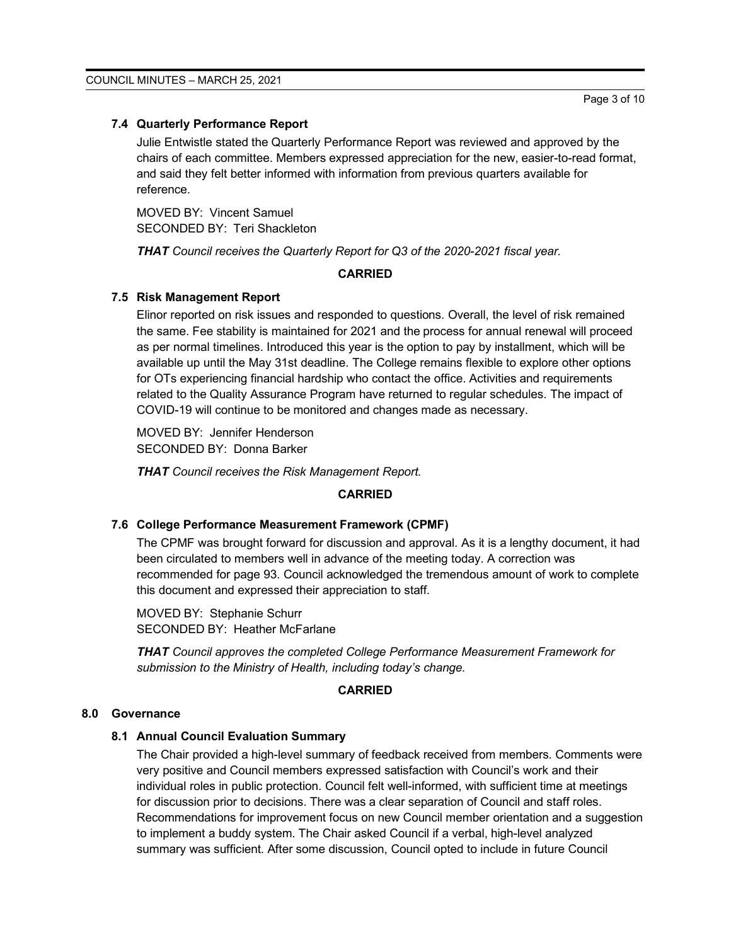# **7.4 Quarterly Performance Report**

Julie Entwistle stated the Quarterly Performance Report was reviewed and approved by the chairs of each committee. Members expressed appreciation for the new, easier-to-read format, and said they felt better informed with information from previous quarters available for reference.

MOVED BY: Vincent Samuel SECONDED BY: Teri Shackleton

*THAT Council receives the Quarterly Report for Q3 of the 2020-2021 fiscal year.*

#### **CARRIED**

#### **7.5 Risk Management Report**

Elinor reported on risk issues and responded to questions. Overall, the level of risk remained the same. Fee stability is maintained for 2021 and the process for annual renewal will proceed as per normal timelines. Introduced this year is the option to pay by installment, which will be available up until the May 31st deadline. The College remains flexible to explore other options for OTs experiencing financial hardship who contact the office. Activities and requirements related to the Quality Assurance Program have returned to regular schedules. The impact of COVID-19 will continue to be monitored and changes made as necessary.

MOVED BY: Jennifer Henderson SECONDED BY: Donna Barker

*THAT Council receives the Risk Management Report.*

#### **CARRIED**

#### **7.6 College Performance Measurement Framework (CPMF)**

The CPMF was brought forward for discussion and approval. As it is a lengthy document, it had been circulated to members well in advance of the meeting today. A correction was recommended for page 93. Council acknowledged the tremendous amount of work to complete this document and expressed their appreciation to staff.

MOVED BY: Stephanie Schurr SECONDED BY: Heather McFarlane

*THAT Council approves the completed College Performance Measurement Framework for submission to the Ministry of Health, including today's change.*

#### **CARRIED**

## **8.0 Governance**

#### **8.1 Annual Council Evaluation Summary**

The Chair provided a high-level summary of feedback received from members. Comments were very positive and Council members expressed satisfaction with Council's work and their individual roles in public protection. Council felt well-informed, with sufficient time at meetings for discussion prior to decisions. There was a clear separation of Council and staff roles. Recommendations for improvement focus on new Council member orientation and a suggestion to implement a buddy system. The Chair asked Council if a verbal, high-level analyzed summary was sufficient. After some discussion, Council opted to include in future Council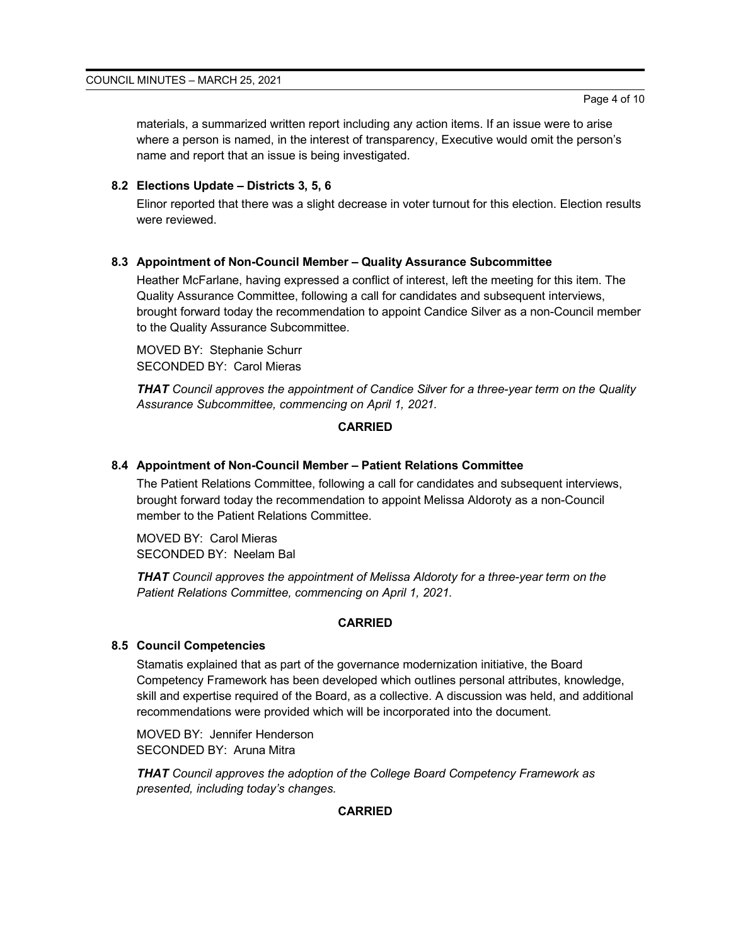materials, a summarized written report including any action items. If an issue were to arise where a person is named, in the interest of transparency, Executive would omit the person's name and report that an issue is being investigated.

# **8.2 Elections Update – Districts 3, 5, 6**

Elinor reported that there was a slight decrease in voter turnout for this election. Election results were reviewed.

# **8.3 Appointment of Non-Council Member – Quality Assurance Subcommittee**

Heather McFarlane, having expressed a conflict of interest, left the meeting for this item. The Quality Assurance Committee, following a call for candidates and subsequent interviews, brought forward today the recommendation to appoint Candice Silver as a non-Council member to the Quality Assurance Subcommittee.

MOVED BY: Stephanie Schurr SECONDED BY: Carol Mieras

*THAT Council approves the appointment of Candice Silver for a three-year term on the Quality Assurance Subcommittee, commencing on April 1, 2021.*

# **CARRIED**

## **8.4 Appointment of Non-Council Member – Patient Relations Committee**

The Patient Relations Committee, following a call for candidates and subsequent interviews, brought forward today the recommendation to appoint Melissa Aldoroty as a non-Council member to the Patient Relations Committee.

MOVED BY: Carol Mieras SECONDED BY: Neelam Bal

*THAT Council approves the appointment of Melissa Aldoroty for a three-year term on the Patient Relations Committee, commencing on April 1, 2021.*

## **CARRIED**

## **8.5 Council Competencies**

Stamatis explained that as part of the governance modernization initiative, the Board Competency Framework has been developed which outlines personal attributes, knowledge, skill and expertise required of the Board, as a collective. A discussion was held, and additional recommendations were provided which will be incorporated into the document.

MOVED BY: Jennifer Henderson SECONDED BY: Aruna Mitra

*THAT Council approves the adoption of the College Board Competency Framework as presented, including today's changes.*

## **CARRIED**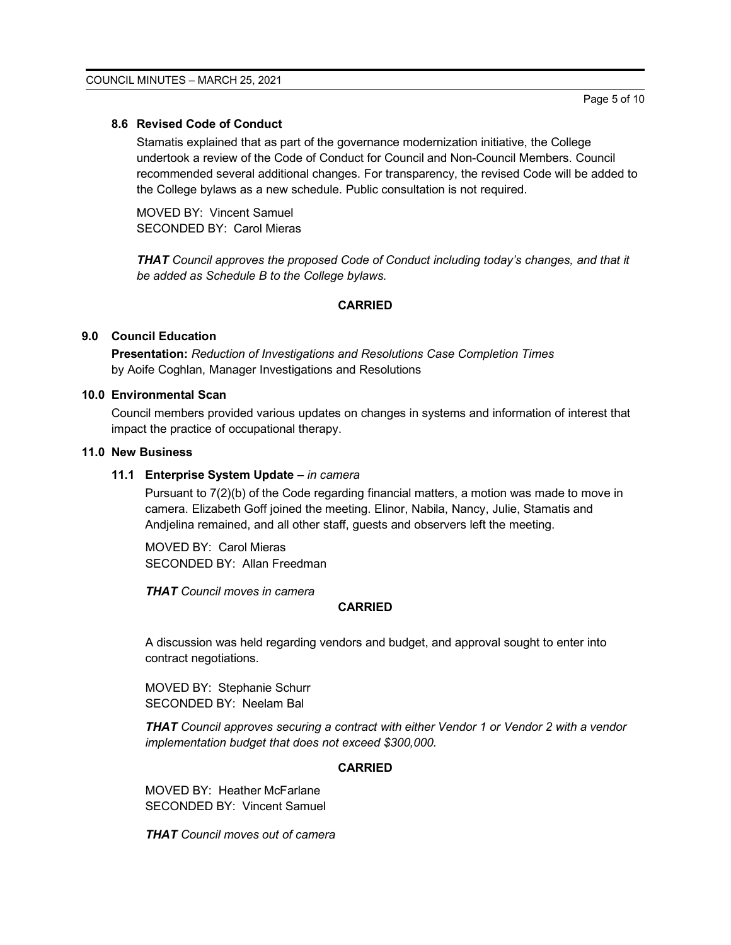#### **8.6 Revised Code of Conduct**

Stamatis explained that as part of the governance modernization initiative, the College undertook a review of the Code of Conduct for Council and Non-Council Members. Council recommended several additional changes. For transparency, the revised Code will be added to the College bylaws as a new schedule. Public consultation is not required.

MOVED BY: Vincent Samuel SECONDED BY: Carol Mieras

*THAT Council approves the proposed Code of Conduct including today's changes, and that it be added as Schedule B to the College bylaws.*

#### **CARRIED**

# **9.0 Council Education**

**Presentation:** *Reduction of Investigations and Resolutions Case Completion Times* by Aoife Coghlan, Manager Investigations and Resolutions

#### **10.0 Environmental Scan**

Council members provided various updates on changes in systems and information of interest that impact the practice of occupational therapy.

# **11.0 New Business**

#### **11.1 Enterprise System Update –** *in camera*

Pursuant to 7(2)(b) of the Code regarding financial matters, a motion was made to move in camera. Elizabeth Goff joined the meeting. Elinor, Nabila, Nancy, Julie, Stamatis and Andjelina remained, and all other staff, guests and observers left the meeting.

MOVED BY: Carol Mieras SECONDED BY: Allan Freedman

*THAT Council moves in camera*

#### **CARRIED**

A discussion was held regarding vendors and budget, and approval sought to enter into contract negotiations.

MOVED BY: Stephanie Schurr SECONDED BY: Neelam Bal

*THAT Council approves securing a contract with either Vendor 1 or Vendor 2 with a vendor implementation budget that does not exceed \$300,000.*

#### **CARRIED**

MOVED BY: Heather McFarlane SECONDED BY: Vincent Samuel

*THAT Council moves out of camera*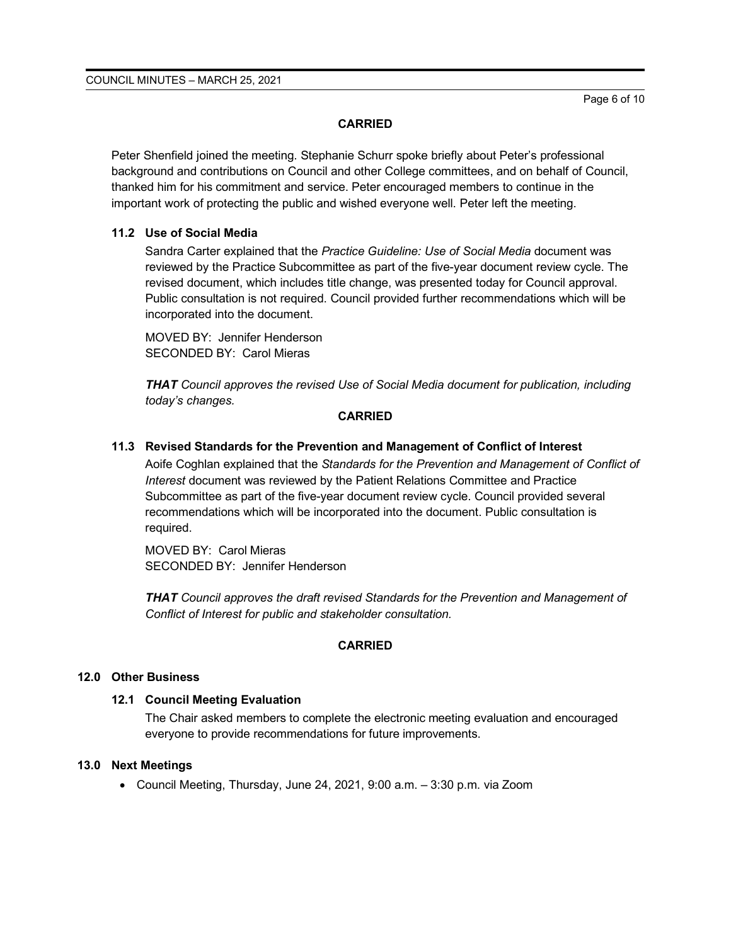#### **CARRIED**

Peter Shenfield joined the meeting. Stephanie Schurr spoke briefly about Peter's professional background and contributions on Council and other College committees, and on behalf of Council, thanked him for his commitment and service. Peter encouraged members to continue in the important work of protecting the public and wished everyone well. Peter left the meeting.

# **11.2 Use of Social Media**

Sandra Carter explained that the *Practice Guideline: Use of Social Media* document was reviewed by the Practice Subcommittee as part of the five-year document review cycle. The revised document, which includes title change, was presented today for Council approval. Public consultation is not required. Council provided further recommendations which will be incorporated into the document.

MOVED BY: Jennifer Henderson SECONDED BY: Carol Mieras

*THAT Council approves the revised Use of Social Media document for publication, including today's changes.*

## **CARRIED**

# **11.3 Revised Standards for the Prevention and Management of Conflict of Interest**

Aoife Coghlan explained that the *Standards for the Prevention and Management of Conflict of Interest* document was reviewed by the Patient Relations Committee and Practice Subcommittee as part of the five-year document review cycle. Council provided several recommendations which will be incorporated into the document. Public consultation is required.

MOVED BY: Carol Mieras SECONDED BY: Jennifer Henderson

*THAT Council approves the draft revised Standards for the Prevention and Management of Conflict of Interest for public and stakeholder consultation.*

## **CARRIED**

## **12.0 Other Business**

## **12.1 Council Meeting Evaluation**

The Chair asked members to complete the electronic meeting evaluation and encouraged everyone to provide recommendations for future improvements.

## **13.0 Next Meetings**

• Council Meeting, Thursday, June 24, 2021, 9:00 a.m. – 3:30 p.m. via Zoom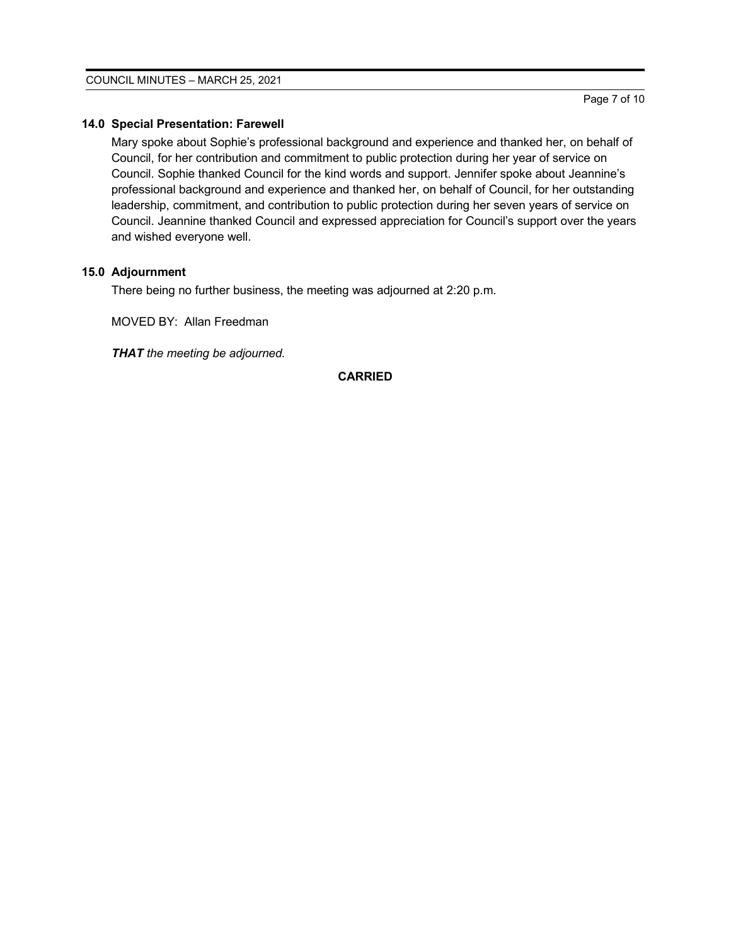# **14.0 Special Presentation: Farewell**

Mary spoke about Sophie's professional background and experience and thanked her, on behalf of Council, for her contribution and commitment to public protection during her year of service on Council. Sophie thanked Council for the kind words and support. Jennifer spoke about Jeannine's professional background and experience and thanked her, on behalf of Council, for her outstanding leadership, commitment, and contribution to public protection during her seven years of service on Council. Jeannine thanked Council and expressed appreciation for Council's support over the years and wished everyone well.

# **15.0 Adjournment**

There being no further business, the meeting was adjourned at 2:20 p.m.

MOVED BY: Allan Freedman

*THAT the meeting be adjourned.*

# **CARRIED**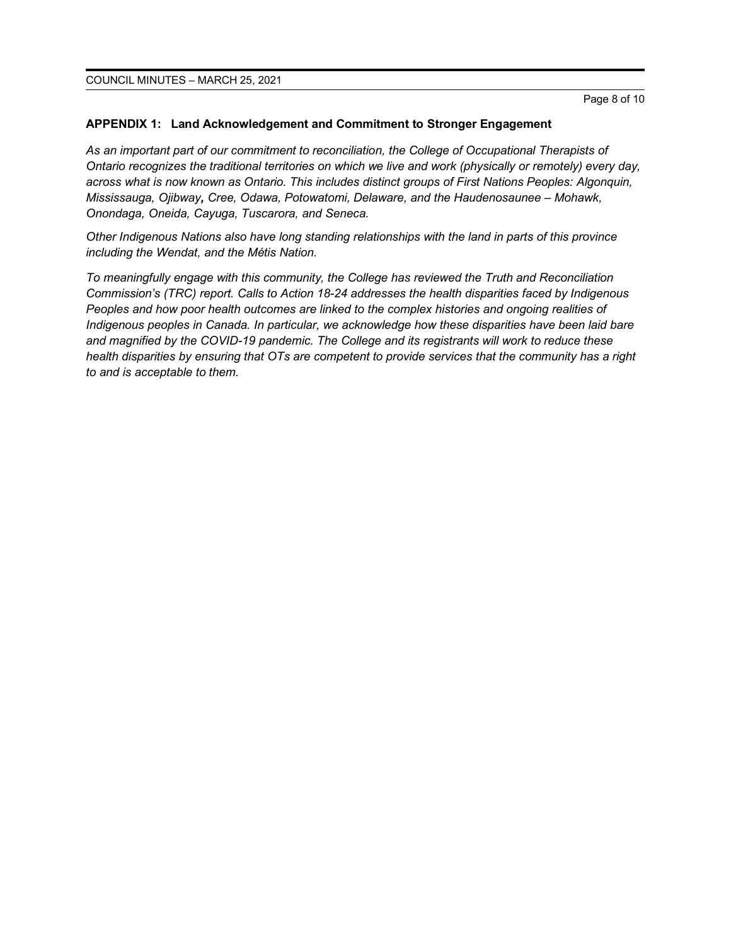#### **APPENDIX 1: Land Acknowledgement and Commitment to Stronger Engagement**

*As an important part of our commitment to reconciliation, the College of Occupational Therapists of Ontario recognizes the traditional territories on which we live and work (physically or remotely) every day, across what is now known as Ontario. This includes distinct groups of First Nations Peoples: Algonquin, Mississauga, Ojibway, Cree, Odawa, Potowatomi, Delaware, and the Haudenosaunee – Mohawk, Onondaga, Oneida, Cayuga, Tuscarora, and Seneca.* 

*Other Indigenous Nations also have long standing relationships with the land in parts of this province including the Wendat, and the Métis Nation.* 

*To meaningfully engage with this community, the College has reviewed the Truth and Reconciliation Commission's (TRC) report. Calls to Action 18-24 addresses the health disparities faced by Indigenous Peoples and how poor health outcomes are linked to the complex histories and ongoing realities of Indigenous peoples in Canada. In particular, we acknowledge how these disparities have been laid bare and magnified by the COVID-19 pandemic. The College and its registrants will work to reduce these health disparities by ensuring that OTs are competent to provide services that the community has a right to and is acceptable to them.*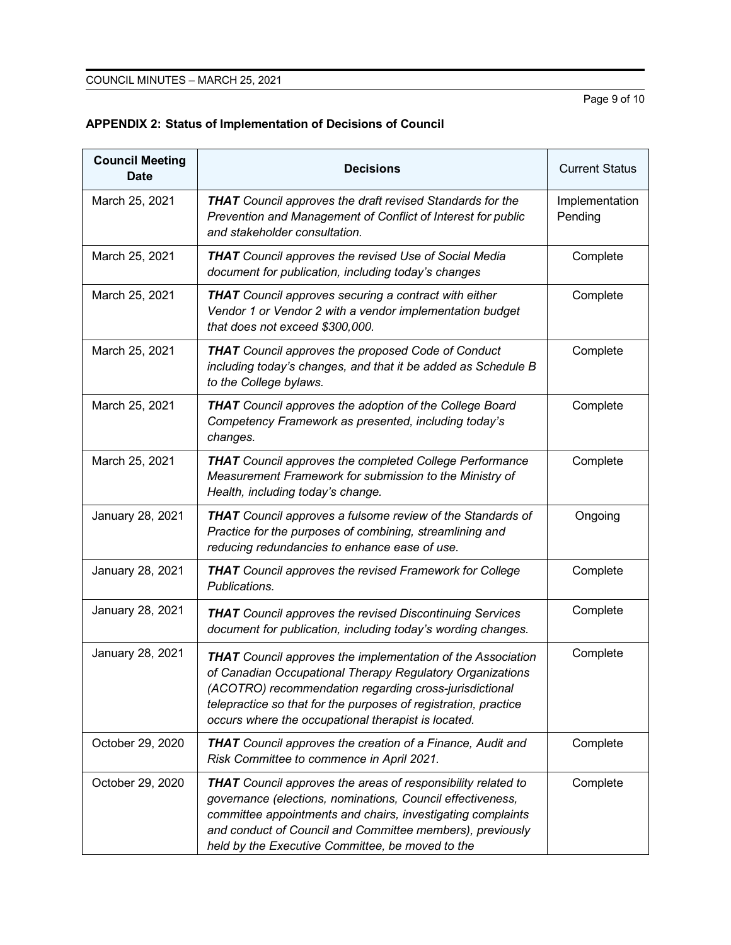Page 9 of 10

| <b>Council Meeting</b><br><b>Date</b> | <b>Decisions</b>                                                                                                                                                                                                                                                                                                    | <b>Current Status</b>     |
|---------------------------------------|---------------------------------------------------------------------------------------------------------------------------------------------------------------------------------------------------------------------------------------------------------------------------------------------------------------------|---------------------------|
| March 25, 2021                        | <b>THAT</b> Council approves the draft revised Standards for the<br>Prevention and Management of Conflict of Interest for public<br>and stakeholder consultation.                                                                                                                                                   | Implementation<br>Pending |
| March 25, 2021                        | <b>THAT</b> Council approves the revised Use of Social Media<br>document for publication, including today's changes                                                                                                                                                                                                 | Complete                  |
| March 25, 2021                        | <b>THAT</b> Council approves securing a contract with either<br>Vendor 1 or Vendor 2 with a vendor implementation budget<br>that does not exceed \$300,000.                                                                                                                                                         | Complete                  |
| March 25, 2021                        | THAT Council approves the proposed Code of Conduct<br>including today's changes, and that it be added as Schedule B<br>to the College bylaws.                                                                                                                                                                       | Complete                  |
| March 25, 2021                        | <b>THAT</b> Council approves the adoption of the College Board<br>Competency Framework as presented, including today's<br>changes.                                                                                                                                                                                  | Complete                  |
| March 25, 2021                        | <b>THAT</b> Council approves the completed College Performance<br>Measurement Framework for submission to the Ministry of<br>Health, including today's change.                                                                                                                                                      | Complete                  |
| January 28, 2021                      | <b>THAT</b> Council approves a fulsome review of the Standards of<br>Practice for the purposes of combining, streamlining and<br>reducing redundancies to enhance ease of use.                                                                                                                                      | Ongoing                   |
| January 28, 2021                      | <b>THAT</b> Council approves the revised Framework for College<br>Publications.                                                                                                                                                                                                                                     | Complete                  |
| January 28, 2021                      | <b>THAT</b> Council approves the revised Discontinuing Services<br>document for publication, including today's wording changes.                                                                                                                                                                                     | Complete                  |
| January 28, 2021                      | <b>THAT</b> Council approves the implementation of the Association<br>of Canadian Occupational Therapy Regulatory Organizations<br>(ACOTRO) recommendation regarding cross-jurisdictional<br>telepractice so that for the purposes of registration, practice<br>occurs where the occupational therapist is located. | Complete                  |
| October 29, 2020                      | <b>THAT</b> Council approves the creation of a Finance, Audit and<br>Risk Committee to commence in April 2021.                                                                                                                                                                                                      | Complete                  |
| October 29, 2020                      | <b>THAT</b> Council approves the areas of responsibility related to<br>governance (elections, nominations, Council effectiveness,<br>committee appointments and chairs, investigating complaints<br>and conduct of Council and Committee members), previously<br>held by the Executive Committee, be moved to the   | Complete                  |

# **APPENDIX 2: Status of Implementation of Decisions of Council**